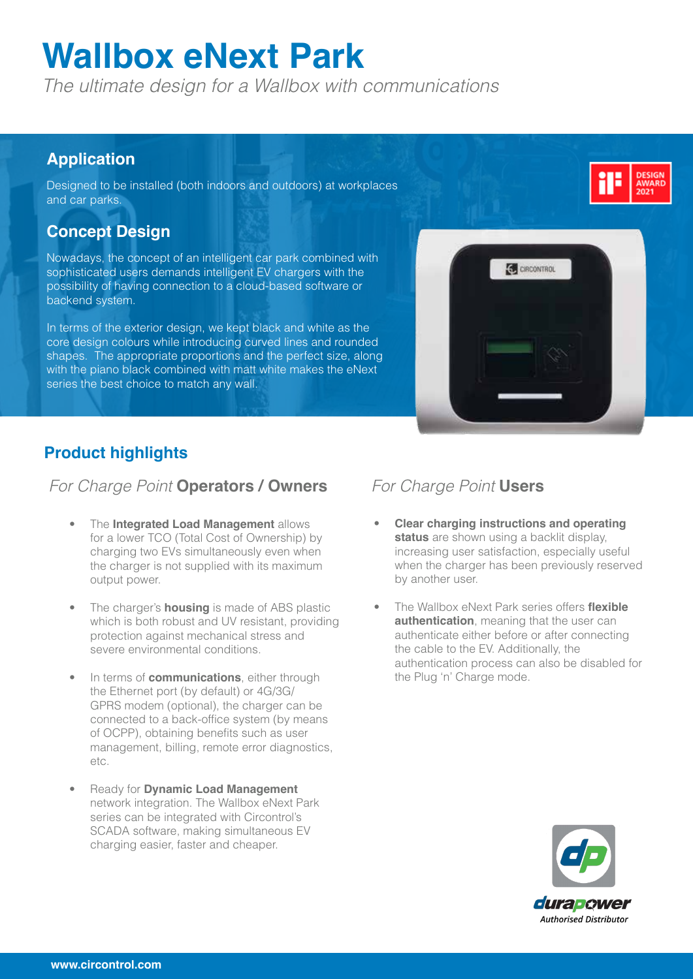# **Wallbox eNext Park**

*The ultimate design for a Wallbox with communications*

#### **Application**

Designed to be installed (both indoors and outdoors) at workplaces and car parks.

#### **Concept Design**

Nowadays, the concept of an intelligent car park combined with sophisticated users demands intelligent EV chargers with the possibility of having connection to a cloud-based software or backend system.

In terms of the exterior design, we kept black and white as the core design colours while introducing curved lines and rounded shapes. The appropriate proportions and the perfect size, along with the piano black combined with matt white makes the eNext series the best choice to match any wall.



#### **Product highlights**

#### *For Charge Point* **Operators / Owners** *For Charge Point* **Users**

- The **Integrated Load Management** allows for a lower TCO (Total Cost of Ownership) by charging two EVs simultaneously even when the charger is not supplied with its maximum output power.
- The charger's **housing** is made of ABS plastic which is both robust and UV resistant, providing protection against mechanical stress and severe environmental conditions.
- In terms of **communications**, either through the Ethernet port (by default) or 4G/3G/ GPRS modem (optional), the charger can be connected to a back-office system (by means of OCPP), obtaining benefits such as user management, billing, remote error diagnostics, etc.
- Ready for **Dynamic Load Management** network integration. The Wallbox eNext Park series can be integrated with Circontrol's SCADA software, making simultaneous EV charging easier, faster and cheaper.

- **Clear charging instructions and operating status** are shown using a backlit display, increasing user satisfaction, especially useful when the charger has been previously reserved by another user.
- The Wallbox eNext Park series offers **flexible authentication**, meaning that the user can authenticate either before or after connecting the cable to the EV. Additionally, the authentication process can also be disabled for the Plug 'n' Charge mode.